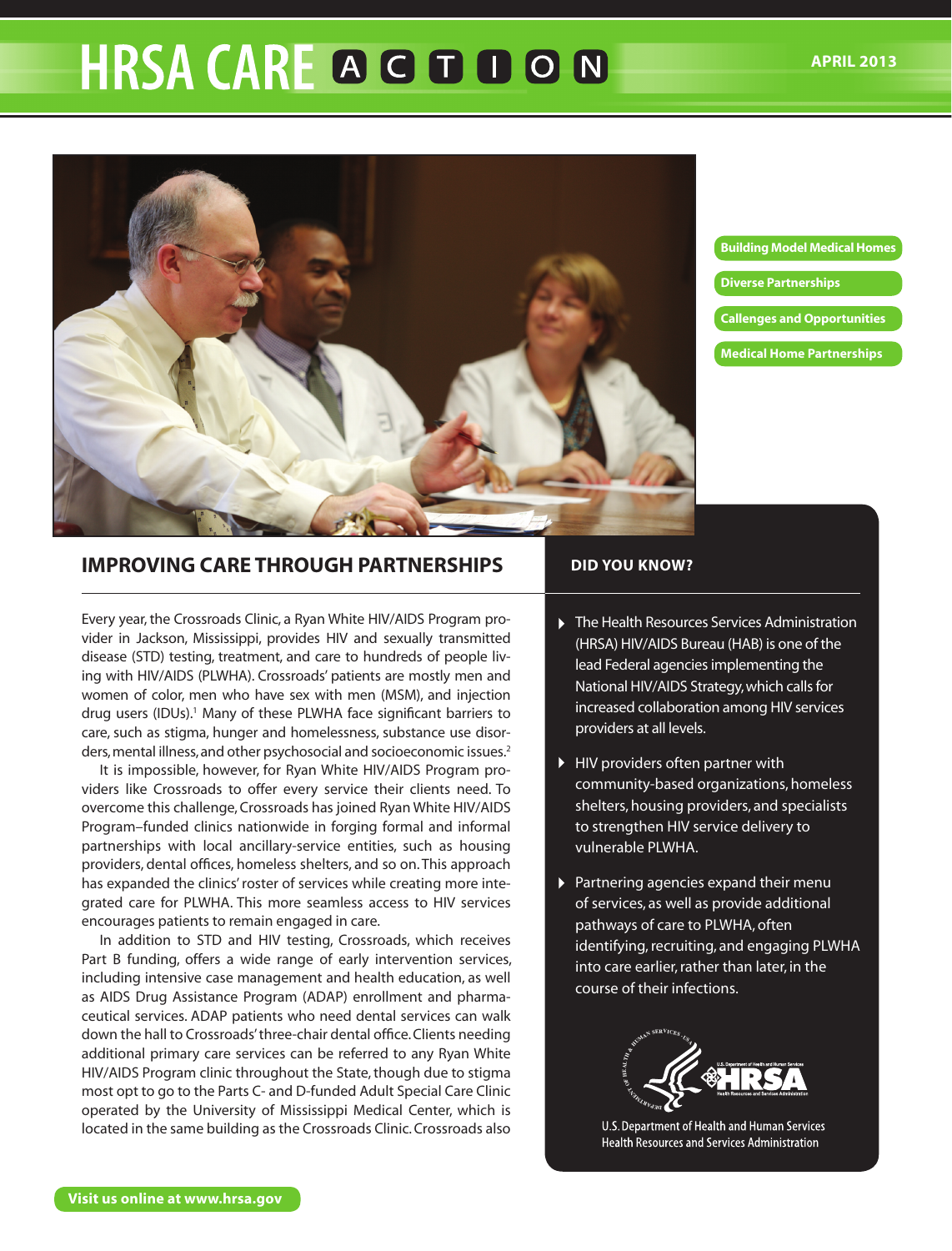# **HRSA CARE A G D D O N**



**Building Model Medical Homes**

- **Diverse Partnerships**
- **Callenges and Opportunities**
- **Medical Home Partnerships**

# **IMPROVING CARE THROUGH PARTNERSHIPS**

Every year, the Crossroads Clinic, a Ryan White HIV/AIDS Program provider in Jackson, Mississippi, provides HIV and sexually transmitted disease (STD) testing, treatment, and care to hundreds of people living with HIV/AIDS (PLWHA). Crossroads' patients are mostly men and women of color, men who have sex with men (MSM), and injection drug users (IDUs).<sup>1</sup> Many of these PLWHA face significant barriers to care, such as stigma, hunger and homelessness, substance use disorders, mental illness, and other psychosocial and socioeconomic issues.<sup>2</sup>

It is impossible, however, for Ryan White HIV/AIDS Program providers like Crossroads to offer every service their clients need. To overcome this challenge, Crossroads has joined Ryan White HIV/AIDS Program–funded clinics nationwide in forging formal and informal partnerships with local ancillary-service entities, such as housing providers, dental offices, homeless shelters, and so on. This approach has expanded the clinics' roster of services while creating more integrated care for PLWHA. This more seamless access to HIV services encourages patients to remain engaged in care.

In addition to STD and HIV testing, Crossroads, which receives Part B funding, offers a wide range of early intervention services, including intensive case management and health education, as well as AIDS Drug Assistance Program (ADAP) enrollment and pharmaceutical services. ADAP patients who need dental services can walk down the hall to Crossroads' three-chair dental office. Clients needing additional primary care services can be referred to any Ryan White HIV/AIDS Program clinic throughout the State, though due to stigma most opt to go to the Parts C- and D-funded Adult Special Care Clinic operated by the University of Mississippi Medical Center, which is located in the same building as the Crossroads Clinic. Crossroads also

## **DID YOU KNOW?**

- ▶ The Health Resources Services Administration (HRSA) HIV/AIDS Bureau (HAB) is one of the lead Federal agencies implementing the National HIV/AIDS Strategy, which calls for increased collaboration among HIV services providers at all levels.
- HIV providers often partner with community-based organizations, homeless shelters, housing providers, and specialists to strengthen HIV service delivery to vulnerable PLWHA.
- Partnering agencies expand their menu of services, as well as provide additional pathways of care to PLWHA, often identifying, recruiting, and engaging PLWHA into care earlier, rather than later, in the course of their infections.



U.S. Department of Health and Human Services **Health Resources and Services Administration**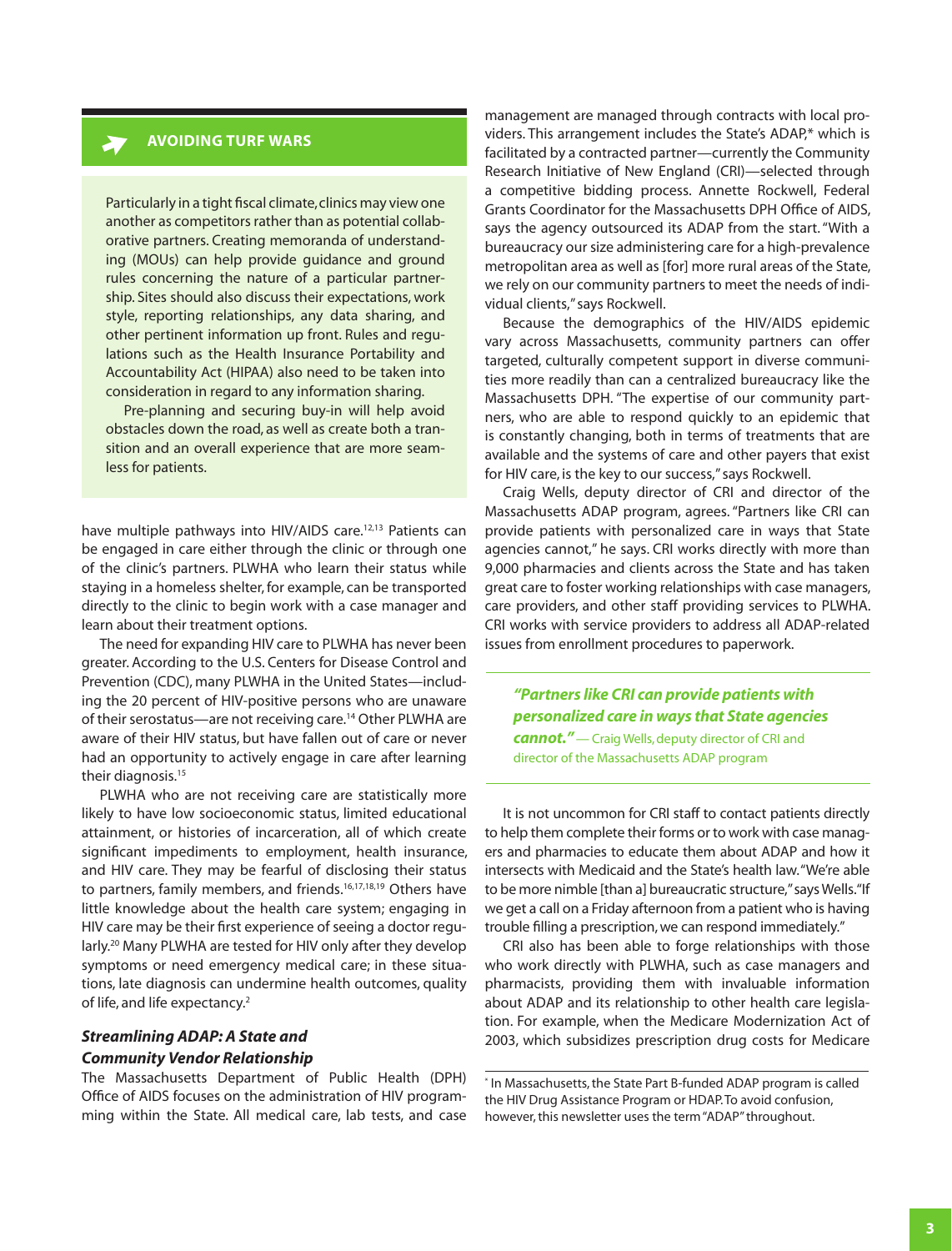# **AVOIDING TURF WARS**

Particularly in a tight fiscal climate, clinics may view one another as competitors rather than as potential collaborative partners. Creating memoranda of understanding (MOUs) can help provide guidance and ground rules concerning the nature of a particular partnership. Sites should also discuss their expectations, work style, reporting relationships, any data sharing, and other pertinent information up front. Rules and regulations such as the Health Insurance Portability and Accountability Act (HIPAA) also need to be taken into consideration in regard to any information sharing.

Pre-planning and securing buy-in will help avoid obstacles down the road, as well as create both a transition and an overall experience that are more seamless for patients.

have multiple pathways into HIV/AIDS care.<sup>12,13</sup> Patients can be engaged in care either through the clinic or through one of the clinic's partners. PLWHA who learn their status while staying in a homeless shelter, for example, can be transported directly to the clinic to begin work with a case manager and learn about their treatment options.

The need for expanding HIV care to PLWHA has never been greater. According to the U.S. Centers for Disease Control and Prevention (CDC), many PLWHA in the United States—including the 20 percent of HIV-positive persons who are unaware of their serostatus—are not receiving care.<sup>14</sup> Other PLWHA are aware of their HIV status, but have fallen out of care or never had an opportunity to actively engage in care after learning their diagnosis.<sup>15</sup>

PLWHA who are not receiving care are statistically more likely to have low socioeconomic status, limited educational attainment, or histories of incarceration, all of which create significant impediments to employment, health insurance, and HIV care. They may be fearful of disclosing their status to partners, family members, and friends.<sup>16,17,18,19</sup> Others have little knowledge about the health care system; engaging in HIV care may be their first experience of seeing a doctor regularly.<sup>20</sup> Many PLWHA are tested for HIV only after they develop symptoms or need emergency medical care; in these situations, late diagnosis can undermine health outcomes, quality of life, and life expectancy.<sup>2</sup>

#### *Streamlining ADAP: A State and*

#### *Community Vendor Relationship*

The Massachusetts Department of Public Health (DPH) Office of AIDS focuses on the administration of HIV programming within the State. All medical care, lab tests, and case management are managed through contracts with local providers. This arrangement includes the State's ADAP,\* which is facilitated by a contracted partner—currently the Community Research Initiative of New England (CRI)—selected through a competitive bidding process. Annette Rockwell, Federal Grants Coordinator for the Massachusetts DPH Office of AIDS, says the agency outsourced its ADAP from the start. "With a bureaucracy our size administering care for a high-prevalence metropolitan area as well as [for] more rural areas of the State, we rely on our community partners to meet the needs of individual clients," says Rockwell.

Because the demographics of the HIV/AIDS epidemic vary across Massachusetts, community partners can offer targeted, culturally competent support in diverse communities more readily than can a centralized bureaucracy like the Massachusetts DPH. "The expertise of our community partners, who are able to respond quickly to an epidemic that is constantly changing, both in terms of treatments that are available and the systems of care and other payers that exist for HIV care, is the key to our success," says Rockwell.

Craig Wells, deputy director of CRI and director of the Massachusetts ADAP program, agrees. "Partners like CRI can provide patients with personalized care in ways that State agencies cannot," he says. CRI works directly with more than 9,000 pharmacies and clients across the State and has taken great care to foster working relationships with case managers, care providers, and other staff providing services to PLWHA. CRI works with service providers to address all ADAP-related issues from enrollment procedures to paperwork.

*"Partners like CRI can provide patients with personalized care in ways that State agencies* 

*cannot."* — Craig Wells, deputy director of CRI and director of the Massachusetts ADAP program

It is not uncommon for CRI staff to contact patients directly to help them complete their forms or to work with case managers and pharmacies to educate them about ADAP and how it intersects with Medicaid and the State's health law. "We're able to be more nimble [than a] bureaucratic structure," says Wells. "If we get a call on a Friday afternoon from a patient who is having trouble filling a prescription, we can respond immediately."

CRI also has been able to forge relationships with those who work directly with PLWHA, such as case managers and pharmacists, providing them with invaluable information about ADAP and its relationship to other health care legislation. For example, when the Medicare Modernization Act of 2003, which subsidizes prescription drug costs for Medicare

\* In Massachusetts, the State Part B-funded ADAP program is called the HIV Drug Assistance Program or HDAP. To avoid confusion, however, this newsletter uses the term "ADAP" throughout.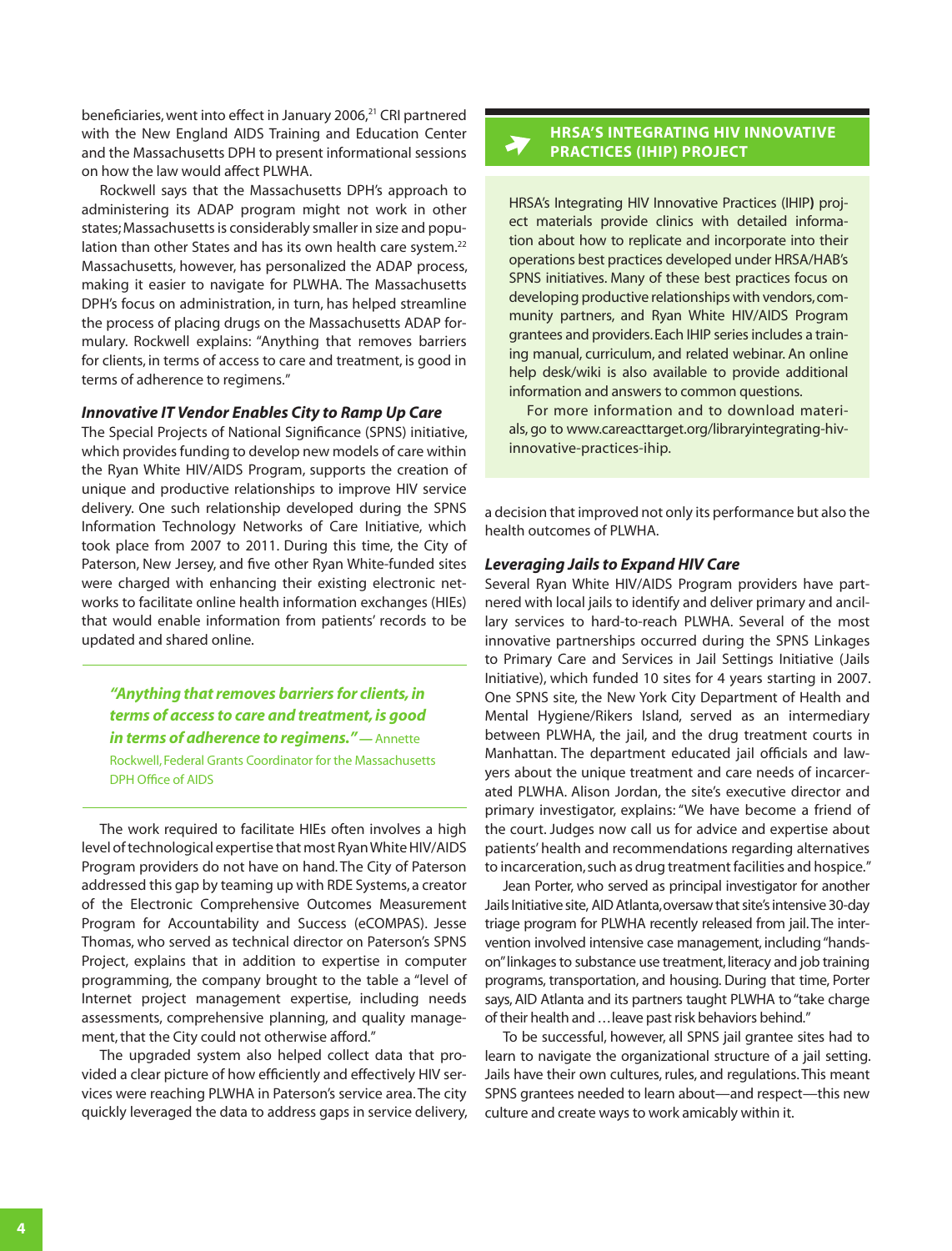beneficiaries, went into effect in January 2006,<sup>21</sup> CRI partnered with the New England AIDS Training and Education Center and the Massachusetts DPH to present informational sessions on how the law would affect PLWHA.

Rockwell says that the Massachusetts DPH's approach to administering its ADAP program might not work in other states; Massachusetts is considerably smaller in size and population than other States and has its own health care system.<sup>22</sup> Massachusetts, however, has personalized the ADAP process, making it easier to navigate for PLWHA. The Massachusetts DPH's focus on administration, in turn, has helped streamline the process of placing drugs on the Massachusetts ADAP formulary. Rockwell explains: "Anything that removes barriers for clients, in terms of access to care and treatment, is good in terms of adherence to regimens."

#### *Innovative IT Vendor Enables City to Ramp Up Care*

The Special Projects of National Significance (SPNS) initiative, which provides funding to develop new models of care within the Ryan White HIV/AIDS Program, supports the creation of unique and productive relationships to improve HIV service delivery. One such relationship developed during the SPNS Information Technology Networks of Care Initiative, which took place from 2007 to 2011. During this time, the City of Paterson, New Jersey, and five other Ryan White-funded sites were charged with enhancing their existing electronic networks to facilitate online health information exchanges (HIEs) that would enable information from patients' records to be updated and shared online.

*"Anything that removes barriers for clients, in terms of access to care and treatment, is good in terms of adherence to regimens." —* Annette Rockwell, Federal Grants Coordinator for the Massachusetts DPH Office of AIDS

The work required to facilitate HIEs often involves a high level of technological expertise that most Ryan White HIV/AIDS Program providers do not have on hand. The City of Paterson addressed this gap by teaming up with RDE Systems, a creator of the Electronic Comprehensive Outcomes Measurement Program for Accountability and Success (eCOMPAS). Jesse Thomas, who served as technical director on Paterson's SPNS Project, explains that in addition to expertise in computer programming, the company brought to the table a "level of Internet project management expertise, including needs assessments, comprehensive planning, and quality management, that the City could not otherwise afford."

The upgraded system also helped collect data that provided a clear picture of how efficiently and effectively HIV services were reaching PLWHA in Paterson's service area. The city quickly leveraged the data to address gaps in service delivery,

## **HRSA'S INTEGRATING HIV INNOVATIVE PRACTICES (IHIP) PROJECT**

HRSA's Integrating HIV Innovative Practices (IHIP**)** project materials provide clinics with detailed information about how to replicate and incorporate into their operations best practices developed under HRSA/HAB's SPNS initiatives. Many of these best practices focus on developing productive relationships with vendors, community partners, and Ryan White HIV/AIDS Program grantees and providers. Each IHIP series includes a training manual, curriculum, and related webinar. An online help desk/wiki is also available to provide additional information and answers to common questions.

For more information and to download materials, go to [www.careacttarget.org/libraryintegrating-hiv](http://www.careacttarget.org/libraryintegrating-hiv-innovative-practices-ihip)[innovative-practices-ihip](http://www.careacttarget.org/libraryintegrating-hiv-innovative-practices-ihip).

a decision that improved not only its performance but also the health outcomes of PLWHA.

#### *Leveraging Jails to Expand HIV Care*

Several Ryan White HIV/AIDS Program providers have partnered with local jails to identify and deliver primary and ancillary services to hard-to-reach PLWHA. Several of the most innovative partnerships occurred during the SPNS Linkages to Primary Care and Services in Jail Settings Initiative (Jails Initiative), which funded 10 sites for 4 years starting in 2007. One SPNS site, the New York City Department of Health and Mental Hygiene/Rikers Island, served as an intermediary between PLWHA, the jail, and the drug treatment courts in Manhattan. The department educated jail officials and lawyers about the unique treatment and care needs of incarcerated PLWHA. Alison Jordan, the site's executive director and primary investigator, explains: "We have become a friend of the court. Judges now call us for advice and expertise about patients' health and recommendations regarding alternatives to incarceration, such as drug treatment facilities and hospice."

Jean Porter, who served as principal investigator for another Jails Initiative site, AID Atlanta, oversaw that site's intensive 30-day triage program for PLWHA recently released from jail. The intervention involved intensive case management, including "handson" linkages to substance use treatment, literacy and job training programs, transportation, and housing. During that time, Porter says, AID Atlanta and its partners taught PLWHA to "take charge of their health and ... leave past risk behaviors behind."

To be successful, however, all SPNS jail grantee sites had to learn to navigate the organizational structure of a jail setting. Jails have their own cultures, rules, and regulations. This meant SPNS grantees needed to learn about—and respect—this new culture and create ways to work amicably within it.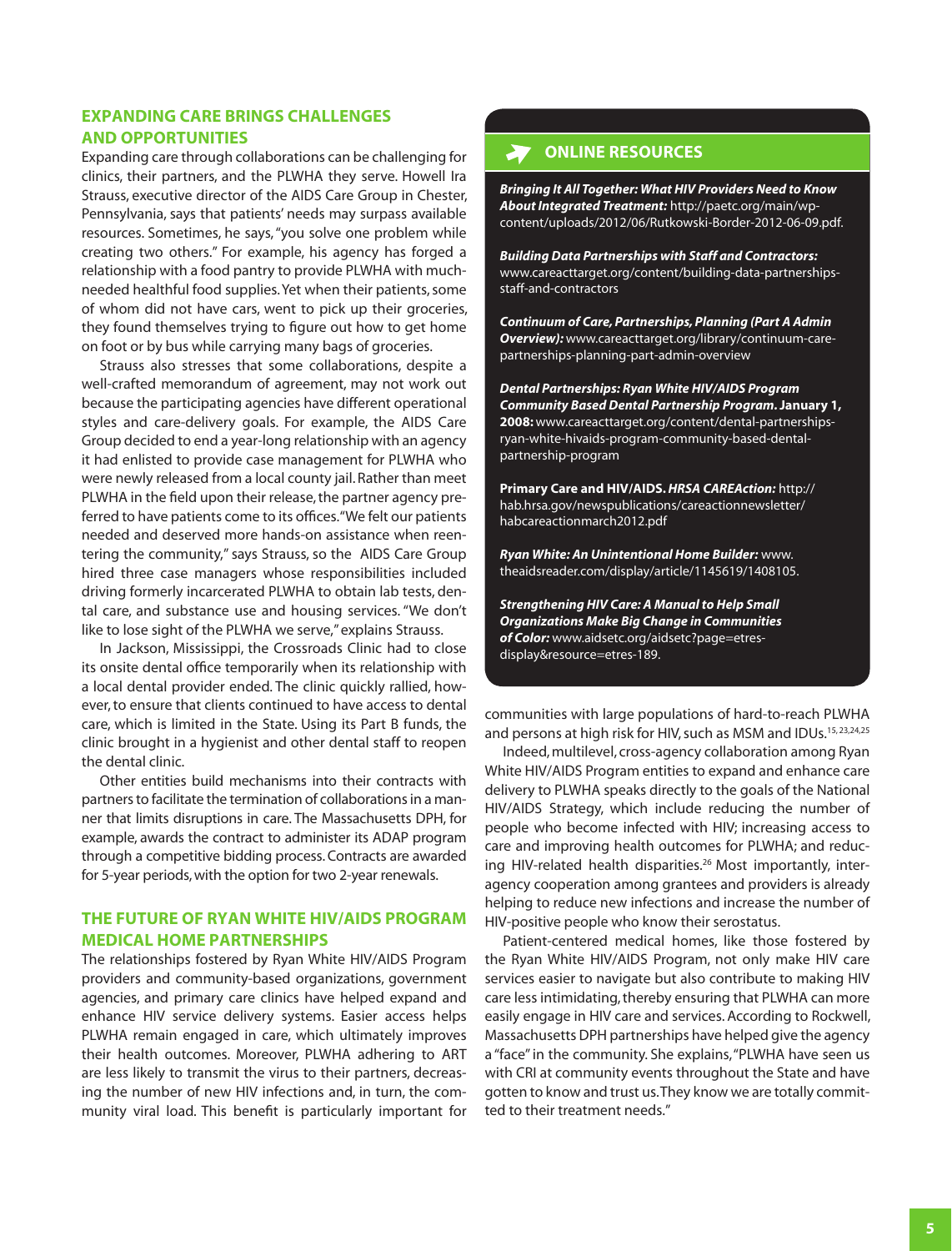## **EXPANDING CARE BRINGS CHALLENGES AND OPPORTUNITIES**

Expanding care through collaborations can be challenging for clinics, their partners, and the PLWHA they serve. Howell Ira Strauss, executive director of the AIDS Care Group in Chester, Pennsylvania, says that patients' needs may surpass available resources. Sometimes, he says, "you solve one problem while creating two others." For example, his agency has forged a relationship with a food pantry to provide PLWHA with muchneeded healthful food supplies. Yet when their patients, some of whom did not have cars, went to pick up their groceries, they found themselves trying to figure out how to get home on foot or by bus while carrying many bags of groceries.

Strauss also stresses that some collaborations, despite a well-crafted memorandum of agreement, may not work out because the participating agencies have different operational styles and care-delivery goals. For example, the AIDS Care Group decided to end a year-long relationship with an agency it had enlisted to provide case management for PLWHA who were newly released from a local county jail. Rather than meet PLWHA in the field upon their release, the partner agency preferred to have patients come to its offices. "We felt our patients needed and deserved more hands-on assistance when reentering the community," says Strauss, so the AIDS Care Group hired three case managers whose responsibilities included driving formerly incarcerated PLWHA to obtain lab tests, dental care, and substance use and housing services. "We don't like to lose sight of the PLWHA we serve," explains Strauss.

In Jackson, Mississippi, the Crossroads Clinic had to close its onsite dental office temporarily when its relationship with a local dental provider ended. The clinic quickly rallied, however, to ensure that clients continued to have access to dental care, which is limited in the State. Using its Part B funds, the clinic brought in a hygienist and other dental staff to reopen the dental clinic.

Other entities build mechanisms into their contracts with partners to facilitate the termination of collaborations in a manner that limits disruptions in care. The Massachusetts DPH, for example, awards the contract to administer its ADAP program through a competitive bidding process. Contracts are awarded for 5-year periods, with the option for two 2-year renewals.

# **THE FUTURE OF RYAN WHITE HIV/AIDS PROGRAM MEDICAL HOME PARTNERSHIPS**

The relationships fostered by Ryan White HIV/AIDS Program providers and community-based organizations, government agencies, and primary care clinics have helped expand and enhance HIV service delivery systems. Easier access helps PLWHA remain engaged in care, which ultimately improves their health outcomes. Moreover, PLWHA adhering to ART are less likely to transmit the virus to their partners, decreasing the number of new HIV infections and, in turn, the community viral load. This benefit is particularly important for

# **ONLINE RESOURCES**

*Bringing It All Together: What HIV Providers Need to Know About Integrated Treatment:* http://paetc.org/main/wpcontent/uploads/2012/06/Rutkowski-Border-2012-06-09.pdf.

*Building Data Partnerships with Staff and Contractors:* [www.careacttarget.org/content/building-data-partnerships](http://www.careacttarget.org/content/building-data-partnerships-staff-and-contractors)[staff-and-contractors](http://www.careacttarget.org/content/building-data-partnerships-staff-and-contractors)

*Continuum of Care, Partnerships, Planning (Part A Admin Overview):* [www.careacttarget.org/library/continuum-care](http://www.careacttarget.org/library/continuum-care-partnerships-planning-part-admin-overview)[partnerships-planning-part-admin-overview](http://www.careacttarget.org/library/continuum-care-partnerships-planning-part-admin-overview)

*Dental Partnerships: Ryan White HIV/AIDS Program Community Based Dental Partnership Program.* **January 1, 2008:** [www.careacttarget.org/content/dental-partnerships](http://www.careacttarget.org/content/dental-partnerships-ryan-white-hivaids-program-community-based-dental-partnership-program)[ryan-white-hivaids-program-community-based-dental](http://www.careacttarget.org/content/dental-partnerships-ryan-white-hivaids-program-community-based-dental-partnership-program)[partnership-program](http://www.careacttarget.org/content/dental-partnerships-ryan-white-hivaids-program-community-based-dental-partnership-program)

**Primary Care and HIV/AIDS.** *HRSA CAREAction:* [http://](http://hab.hrsa.gov/newspublications/careactionnewsletter/habcareactionmarch2012.pdf) [hab.hrsa.gov/newspublications/careactionnewsletter/](http://hab.hrsa.gov/newspublications/careactionnewsletter/habcareactionmarch2012.pdf) [habcareactionmarch2012.pdf](http://hab.hrsa.gov/newspublications/careactionnewsletter/habcareactionmarch2012.pdf) 

*Ryan White: An Unintentional Home Builder:* [www.](http://www.theaidsreader.com/display/article/1145619/1408105) [theaidsreader.com/display/article/1145619/1408105](http://www.theaidsreader.com/display/article/1145619/1408105).

*Strengthening HIV Care: A Manual to Help Small Organizations Make Big Change in Communities of Color:* [www.aidsetc.org/aidsetc?page=etres](http://www.aidsetc.org/aidsetc?page=etres-display&resource=etres-189)[display&resource=etres-189.](http://www.aidsetc.org/aidsetc?page=etres-display&resource=etres-189)

communities with large populations of hard-to-reach PLWHA and persons at high risk for HIV, such as MSM and IDUs.<sup>15, 23, 24, 25</sup>

Indeed, multilevel, cross-agency collaboration among Ryan White HIV/AIDS Program entities to expand and enhance care delivery to PLWHA speaks directly to the goals of the National HIV/AIDS Strategy, which include reducing the number of people who become infected with HIV; increasing access to care and improving health outcomes for PLWHA; and reducing HIV-related health disparities.<sup>26</sup> Most importantly, interagency cooperation among grantees and providers is already helping to reduce new infections and increase the number of HIV-positive people who know their serostatus.

Patient-centered medical homes, like those fostered by the Ryan White HIV/AIDS Program, not only make HIV care services easier to navigate but also contribute to making HIV care less intimidating, thereby ensuring that PLWHA can more easily engage in HIV care and services. According to Rockwell, Massachusetts DPH partnerships have helped give the agency a "face" in the community. She explains, "PLWHA have seen us with CRI at community events throughout the State and have gotten to know and trust us. They know we are totally committed to their treatment needs."